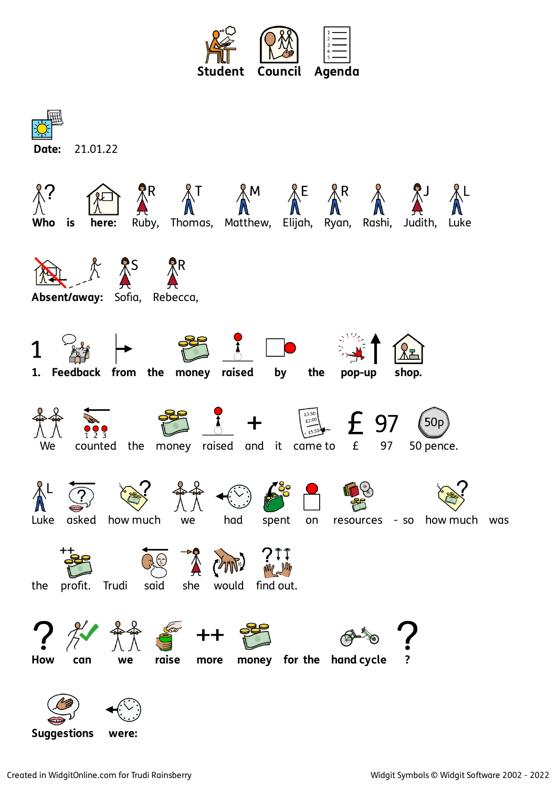



**Suggestions were:**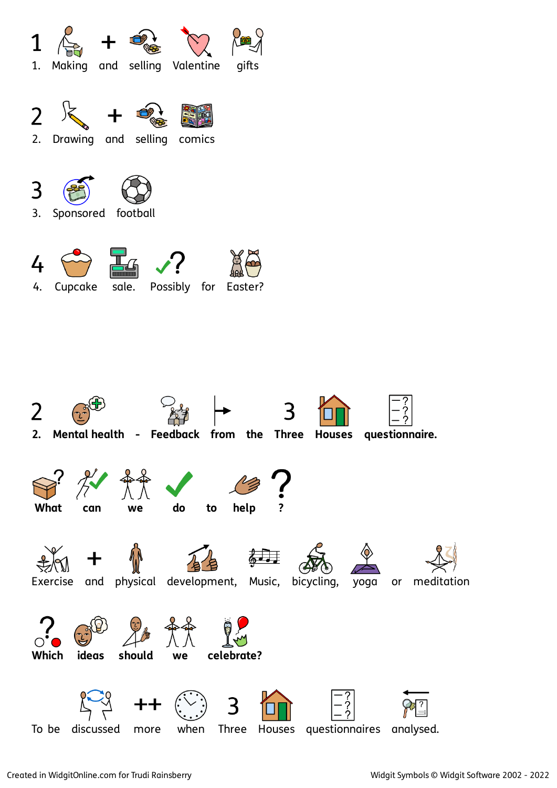